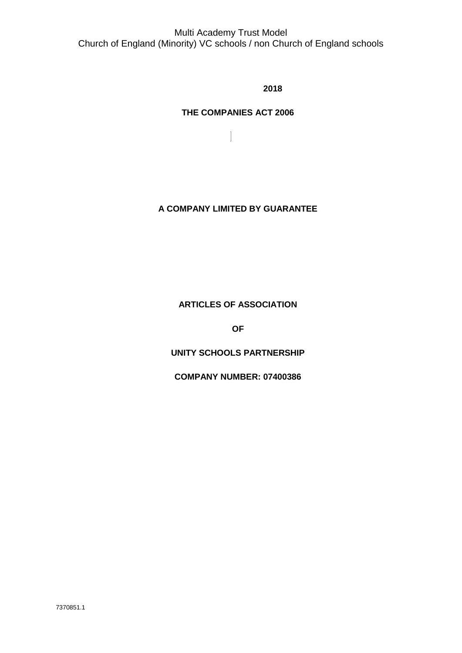**2018**

# **THE COMPANIES ACT 2006**

 $\overline{\phantom{a}}$ 

**A COMPANY LIMITED BY GUARANTEE**

# **ARTICLES OF ASSOCIATION**

**OF**

**UNITY SCHOOLS PARTNERSHIP**

**COMPANY NUMBER: 07400386**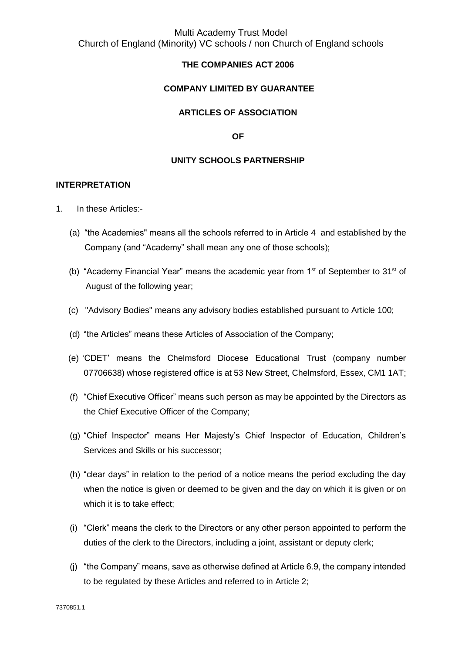# Multi Academy Trust Model Church of England (Minority) VC schools / non Church of England schools

# **THE COMPANIES ACT 2006**

## **COMPANY LIMITED BY GUARANTEE**

## **ARTICLES OF ASSOCIATION**

**OF**

## **UNITY SCHOOLS PARTNERSHIP**

#### **INTERPRETATION**

- 1. In these Articles:-
	- (a) "the Academies" means all the schools referred to in Article 4 and established by the Company (and "Academy" shall mean any one of those schools);
	- (b) "Academy Financial Year" means the academic year from  $1<sup>st</sup>$  of September to  $31<sup>st</sup>$  of August of the following year;
	- (c) "Advisory Bodies" means any advisory bodies established pursuant to Article 100;
	- (d) "the Articles" means these Articles of Association of the Company;
	- (e) 'CDET' means the Chelmsford Diocese Educational Trust (company number 07706638) whose registered office is at 53 New Street, Chelmsford, Essex, CM1 1AT;
	- (f) "Chief Executive Officer" means such person as may be appointed by the Directors as the Chief Executive Officer of the Company;
	- (g) "Chief Inspector" means Her Majesty's Chief Inspector of Education, Children's Services and Skills or his successor;
	- (h) "clear days" in relation to the period of a notice means the period excluding the day when the notice is given or deemed to be given and the day on which it is given or on which it is to take effect;
	- (i) "Clerk" means the clerk to the Directors or any other person appointed to perform the duties of the clerk to the Directors, including a joint, assistant or deputy clerk;
	- (j) "the Company" means, save as otherwise defined at Article 6.9, the company intended to be regulated by these Articles and referred to in Article 2;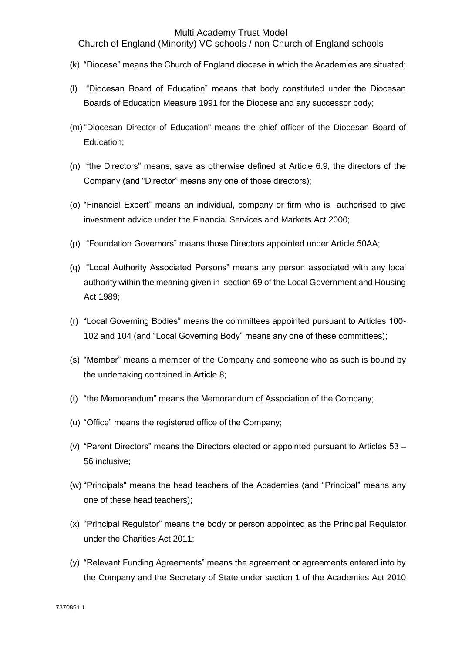Church of England (Minority) VC schools / non Church of England schools

- (k) "Diocese" means the Church of England diocese in which the Academies are situated;
- (l) "Diocesan Board of Education" means that body constituted under the Diocesan Boards of Education Measure 1991 for the Diocese and any successor body;
- (m)"Diocesan Director of Education" means the chief officer of the Diocesan Board of Education;
- (n) "the Directors" means, save as otherwise defined at Article 6.9, the directors of the Company (and "Director" means any one of those directors);
- (o) "Financial Expert" means an individual, company or firm who is authorised to give investment advice under the Financial Services and Markets Act 2000;
- (p) "Foundation Governors" means those Directors appointed under Article 50AA;
- (q) "Local Authority Associated Persons" means any person associated with any local authority within the meaning given in section 69 of the Local Government and Housing Act 1989;
- (r) "Local Governing Bodies" means the committees appointed pursuant to Articles 100- 102 and 104 (and "Local Governing Body" means any one of these committees);
- (s) "Member" means a member of the Company and someone who as such is bound by the undertaking contained in Article 8;
- (t) "the Memorandum" means the Memorandum of Association of the Company;
- (u) "Office" means the registered office of the Company;
- (v) "Parent Directors" means the Directors elected or appointed pursuant to Articles  $53 -$ 56 inclusive;
- (w) "Principals" means the head teachers of the Academies (and "Principal" means any one of these head teachers);
- (x) "Principal Regulator" means the body or person appointed as the Principal Regulator under the Charities Act 2011;
- (y) "Relevant Funding Agreements" means the agreement or agreements entered into by the Company and the Secretary of State under section 1 of the Academies Act 2010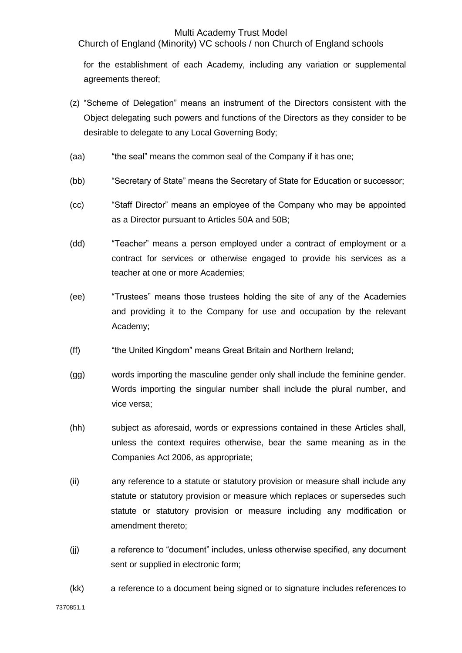Church of England (Minority) VC schools / non Church of England schools

for the establishment of each Academy, including any variation or supplemental agreements thereof;

- (z) "Scheme of Delegation" means an instrument of the Directors consistent with the Object delegating such powers and functions of the Directors as they consider to be desirable to delegate to any Local Governing Body;
- (aa) "the seal" means the common seal of the Company if it has one;
- (bb) "Secretary of State" means the Secretary of State for Education or successor;
- (cc) "Staff Director" means an employee of the Company who may be appointed as a Director pursuant to Articles 50A and 50B;
- (dd) "Teacher" means a person employed under a contract of employment or a contract for services or otherwise engaged to provide his services as a teacher at one or more Academies;
- (ee) "Trustees" means those trustees holding the site of any of the Academies and providing it to the Company for use and occupation by the relevant Academy;
- (ff) "the United Kingdom" means Great Britain and Northern Ireland;
- (gg) words importing the masculine gender only shall include the feminine gender. Words importing the singular number shall include the plural number, and vice versa;
- (hh) subject as aforesaid, words or expressions contained in these Articles shall, unless the context requires otherwise, bear the same meaning as in the Companies Act 2006, as appropriate;
- (ii) any reference to a statute or statutory provision or measure shall include any statute or statutory provision or measure which replaces or supersedes such statute or statutory provision or measure including any modification or amendment thereto;
- (jj) a reference to "document" includes, unless otherwise specified, any document sent or supplied in electronic form;
- (kk) a reference to a document being signed or to signature includes references to

7370851.1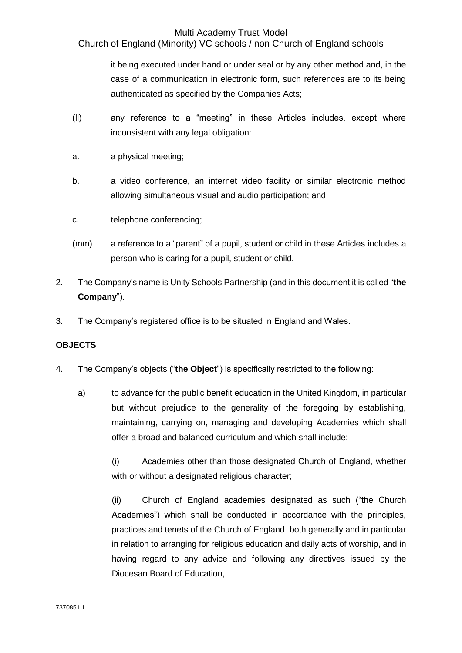Church of England (Minority) VC schools / non Church of England schools

it being executed under hand or under seal or by any other method and, in the case of a communication in electronic form, such references are to its being authenticated as specified by the Companies Acts;

- (ll) any reference to a "meeting" in these Articles includes, except where inconsistent with any legal obligation:
- a. a physical meeting;
- b. a video conference, an internet video facility or similar electronic method allowing simultaneous visual and audio participation; and
- c. telephone conferencing;
- (mm) a reference to a "parent" of a pupil, student or child in these Articles includes a person who is caring for a pupil, student or child.
- 2. The Company's name is Unity Schools Partnership (and in this document it is called "**the Company**").
- 3. The Company's registered office is to be situated in England and Wales.

# **OBJECTS**

- 4. The Company's objects ("**the Object**") is specifically restricted to the following:
	- a) to advance for the public benefit education in the United Kingdom, in particular but without prejudice to the generality of the foregoing by establishing, maintaining, carrying on, managing and developing Academies which shall offer a broad and balanced curriculum and which shall include:

(i) Academies other than those designated Church of England, whether with or without a designated religious character;

(ii) Church of England academies designated as such ("the Church Academies") which shall be conducted in accordance with the principles, practices and tenets of the Church of England both generally and in particular in relation to arranging for religious education and daily acts of worship, and in having regard to any advice and following any directives issued by the Diocesan Board of Education,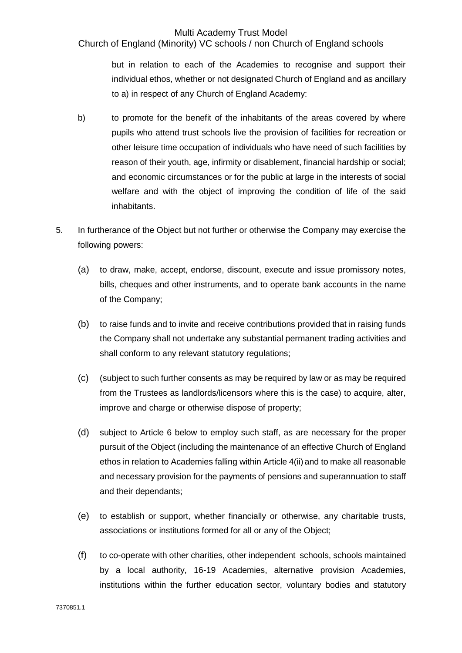Church of England (Minority) VC schools / non Church of England schools

but in relation to each of the Academies to recognise and support their individual ethos, whether or not designated Church of England and as ancillary to a) in respect of any Church of England Academy:

- b) to promote for the benefit of the inhabitants of the areas covered by where pupils who attend trust schools live the provision of facilities for recreation or other leisure time occupation of individuals who have need of such facilities by reason of their youth, age, infirmity or disablement, financial hardship or social; and economic circumstances or for the public at large in the interests of social welfare and with the object of improving the condition of life of the said inhabitants.
- 5. In furtherance of the Object but not further or otherwise the Company may exercise the following powers:
	- (a) to draw, make, accept, endorse, discount, execute and issue promissory notes, bills, cheques and other instruments, and to operate bank accounts in the name of the Company;
	- (b) to raise funds and to invite and receive contributions provided that in raising funds the Company shall not undertake any substantial permanent trading activities and shall conform to any relevant statutory regulations;
	- (c) (subject to such further consents as may be required by law or as may be required from the Trustees as landlords/licensors where this is the case) to acquire, alter, improve and charge or otherwise dispose of property;
	- (d) subject to Article 6 below to employ such staff, as are necessary for the proper pursuit of the Object (including the maintenance of an effective Church of England ethos in relation to Academies falling within Article 4(ii) and to make all reasonable and necessary provision for the payments of pensions and superannuation to staff and their dependants;
	- (e) to establish or support, whether financially or otherwise, any charitable trusts, associations or institutions formed for all or any of the Object;
	- (f) to co-operate with other charities, other independent schools, schools maintained by a local authority, 16-19 Academies, alternative provision Academies, institutions within the further education sector, voluntary bodies and statutory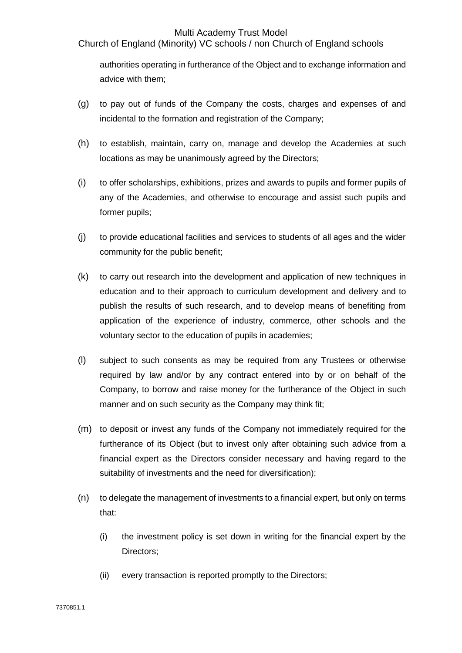Church of England (Minority) VC schools / non Church of England schools

authorities operating in furtherance of the Object and to exchange information and advice with them;

- (g) to pay out of funds of the Company the costs, charges and expenses of and incidental to the formation and registration of the Company;
- (h) to establish, maintain, carry on, manage and develop the Academies at such locations as may be unanimously agreed by the Directors;
- (i) to offer scholarships, exhibitions, prizes and awards to pupils and former pupils of any of the Academies, and otherwise to encourage and assist such pupils and former pupils;
- (j) to provide educational facilities and services to students of all ages and the wider community for the public benefit;
- (k) to carry out research into the development and application of new techniques in education and to their approach to curriculum development and delivery and to publish the results of such research, and to develop means of benefiting from application of the experience of industry, commerce, other schools and the voluntary sector to the education of pupils in academies;
- (l) subject to such consents as may be required from any Trustees or otherwise required by law and/or by any contract entered into by or on behalf of the Company, to borrow and raise money for the furtherance of the Object in such manner and on such security as the Company may think fit;
- (m) to deposit or invest any funds of the Company not immediately required for the furtherance of its Object (but to invest only after obtaining such advice from a financial expert as the Directors consider necessary and having regard to the suitability of investments and the need for diversification);
- (n) to delegate the management of investments to a financial expert, but only on terms that:
	- (i) the investment policy is set down in writing for the financial expert by the Directors;
	- (ii) every transaction is reported promptly to the Directors;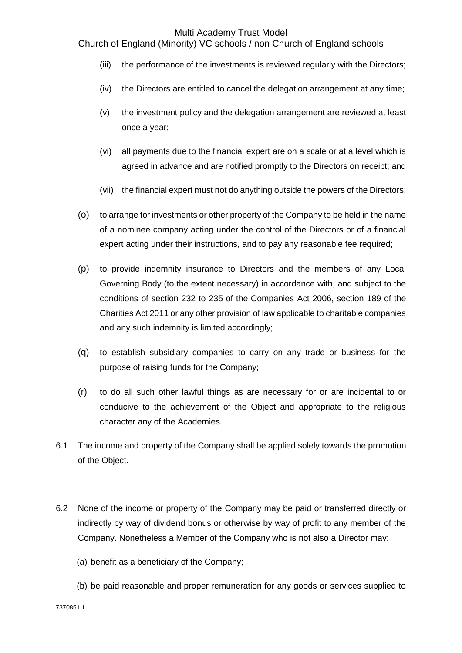Church of England (Minority) VC schools / non Church of England schools

- (iii) the performance of the investments is reviewed regularly with the Directors;
- (iv) the Directors are entitled to cancel the delegation arrangement at any time;
- (v) the investment policy and the delegation arrangement are reviewed at least once a year;
- (vi) all payments due to the financial expert are on a scale or at a level which is agreed in advance and are notified promptly to the Directors on receipt; and
- (vii) the financial expert must not do anything outside the powers of the Directors;
- (o) to arrange for investments or other property of the Company to be held in the name of a nominee company acting under the control of the Directors or of a financial expert acting under their instructions, and to pay any reasonable fee required;
- (p) to provide indemnity insurance to Directors and the members of any Local Governing Body (to the extent necessary) in accordance with, and subject to the conditions of section 232 to 235 of the Companies Act 2006, section 189 of the Charities Act 2011 or any other provision of law applicable to charitable companies and any such indemnity is limited accordingly;
- (q) to establish subsidiary companies to carry on any trade or business for the purpose of raising funds for the Company;
- (r) to do all such other lawful things as are necessary for or are incidental to or conducive to the achievement of the Object and appropriate to the religious character any of the Academies.
- 6.1 The income and property of the Company shall be applied solely towards the promotion of the Object.
- 6.2 None of the income or property of the Company may be paid or transferred directly or indirectly by way of dividend bonus or otherwise by way of profit to any member of the Company. Nonetheless a Member of the Company who is not also a Director may:
	- (a) benefit as a beneficiary of the Company;
	- (b) be paid reasonable and proper remuneration for any goods or services supplied to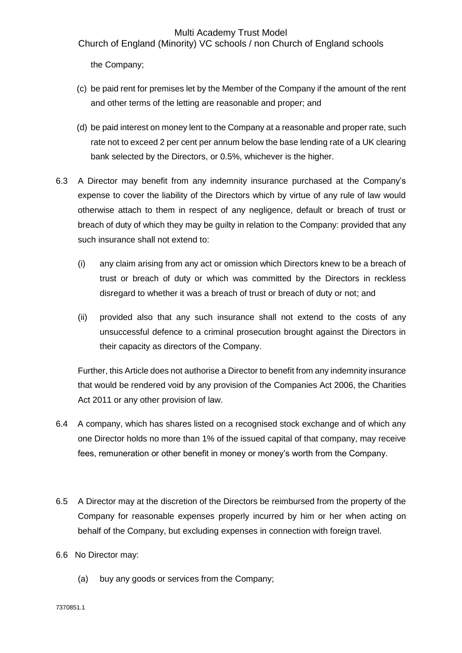Church of England (Minority) VC schools / non Church of England schools

the Company;

- (c) be paid rent for premises let by the Member of the Company if the amount of the rent and other terms of the letting are reasonable and proper; and
- (d) be paid interest on money lent to the Company at a reasonable and proper rate, such rate not to exceed 2 per cent per annum below the base lending rate of a UK clearing bank selected by the Directors, or 0.5%, whichever is the higher.
- 6.3 A Director may benefit from any indemnity insurance purchased at the Company's expense to cover the liability of the Directors which by virtue of any rule of law would otherwise attach to them in respect of any negligence, default or breach of trust or breach of duty of which they may be guilty in relation to the Company: provided that any such insurance shall not extend to:
	- (i) any claim arising from any act or omission which Directors knew to be a breach of trust or breach of duty or which was committed by the Directors in reckless disregard to whether it was a breach of trust or breach of duty or not; and
	- (ii) provided also that any such insurance shall not extend to the costs of any unsuccessful defence to a criminal prosecution brought against the Directors in their capacity as directors of the Company.

Further, this Article does not authorise a Director to benefit from any indemnity insurance that would be rendered void by any provision of the Companies Act 2006, the Charities Act 2011 or any other provision of law.

- 6.4 A company, which has shares listed on a recognised stock exchange and of which any one Director holds no more than 1% of the issued capital of that company, may receive fees, remuneration or other benefit in money or money's worth from the Company.
- 6.5 A Director may at the discretion of the Directors be reimbursed from the property of the Company for reasonable expenses properly incurred by him or her when acting on behalf of the Company, but excluding expenses in connection with foreign travel.
- 6.6 No Director may:
	- (a) buy any goods or services from the Company;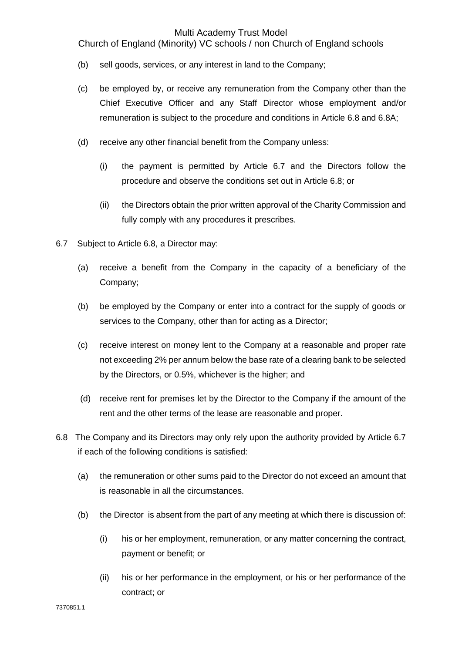Church of England (Minority) VC schools / non Church of England schools

- (b) sell goods, services, or any interest in land to the Company;
- (c) be employed by, or receive any remuneration from the Company other than the Chief Executive Officer and any Staff Director whose employment and/or remuneration is subject to the procedure and conditions in Article 6.8 and 6.8A;
- (d) receive any other financial benefit from the Company unless:
	- (i) the payment is permitted by Article 6.7 and the Directors follow the procedure and observe the conditions set out in Article 6.8; or
	- (ii) the Directors obtain the prior written approval of the Charity Commission and fully comply with any procedures it prescribes.
- 6.7 Subject to Article 6.8, a Director may:
	- (a) receive a benefit from the Company in the capacity of a beneficiary of the Company;
	- (b) be employed by the Company or enter into a contract for the supply of goods or services to the Company, other than for acting as a Director;
	- (c) receive interest on money lent to the Company at a reasonable and proper rate not exceeding 2% per annum below the base rate of a clearing bank to be selected by the Directors, or 0.5%, whichever is the higher; and
	- (d) receive rent for premises let by the Director to the Company if the amount of the rent and the other terms of the lease are reasonable and proper.
- 6.8 The Company and its Directors may only rely upon the authority provided by Article 6.7 if each of the following conditions is satisfied:
	- (a) the remuneration or other sums paid to the Director do not exceed an amount that is reasonable in all the circumstances.
	- (b) the Director is absent from the part of any meeting at which there is discussion of:
		- (i) his or her employment, remuneration, or any matter concerning the contract, payment or benefit; or
		- (ii) his or her performance in the employment, or his or her performance of the contract; or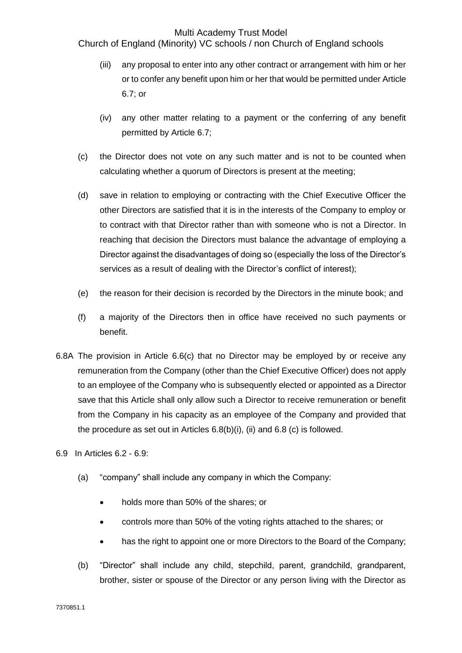Church of England (Minority) VC schools / non Church of England schools

- (iii) any proposal to enter into any other contract or arrangement with him or her or to confer any benefit upon him or her that would be permitted under Article 6.7; or
- (iv) any other matter relating to a payment or the conferring of any benefit permitted by Article 6.7;
- (c) the Director does not vote on any such matter and is not to be counted when calculating whether a quorum of Directors is present at the meeting;
- (d) save in relation to employing or contracting with the Chief Executive Officer the other Directors are satisfied that it is in the interests of the Company to employ or to contract with that Director rather than with someone who is not a Director. In reaching that decision the Directors must balance the advantage of employing a Director against the disadvantages of doing so (especially the loss of the Director's services as a result of dealing with the Director's conflict of interest);
- (e) the reason for their decision is recorded by the Directors in the minute book; and
- (f) a majority of the Directors then in office have received no such payments or benefit.
- 6.8A The provision in Article 6.6(c) that no Director may be employed by or receive any remuneration from the Company (other than the Chief Executive Officer) does not apply to an employee of the Company who is subsequently elected or appointed as a Director save that this Article shall only allow such a Director to receive remuneration or benefit from the Company in his capacity as an employee of the Company and provided that the procedure as set out in Articles 6.8(b)(i), (ii) and 6.8 (c) is followed.
- 6.9 In Articles 6.2 6.9:
	- (a) "company" shall include any company in which the Company:
		- holds more than 50% of the shares; or
		- controls more than 50% of the voting rights attached to the shares; or
		- has the right to appoint one or more Directors to the Board of the Company:
	- (b) "Director" shall include any child, stepchild, parent, grandchild, grandparent, brother, sister or spouse of the Director or any person living with the Director as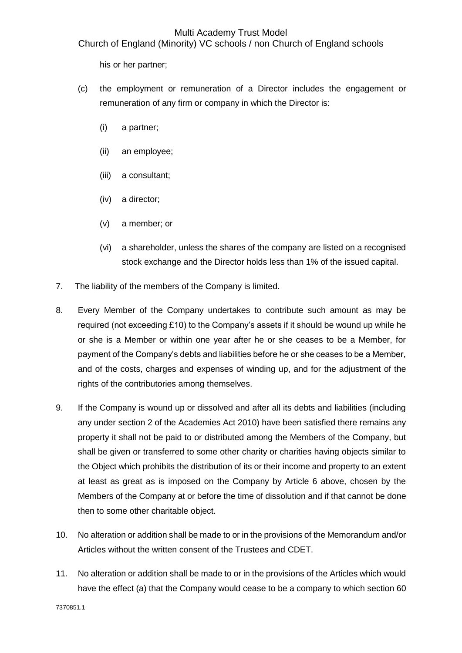Church of England (Minority) VC schools / non Church of England schools

his or her partner;

- (c) the employment or remuneration of a Director includes the engagement or remuneration of any firm or company in which the Director is:
	- (i) a partner;
	- (ii) an employee;
	- (iii) a consultant;
	- (iv) a director;
	- (v) a member; or
	- (vi) a shareholder, unless the shares of the company are listed on a recognised stock exchange and the Director holds less than 1% of the issued capital.
- 7. The liability of the members of the Company is limited.
- 8. Every Member of the Company undertakes to contribute such amount as may be required (not exceeding £10) to the Company's assets if it should be wound up while he or she is a Member or within one year after he or she ceases to be a Member, for payment of the Company's debts and liabilities before he or she ceases to be a Member, and of the costs, charges and expenses of winding up, and for the adjustment of the rights of the contributories among themselves.
- 9. If the Company is wound up or dissolved and after all its debts and liabilities (including any under section 2 of the Academies Act 2010) have been satisfied there remains any property it shall not be paid to or distributed among the Members of the Company, but shall be given or transferred to some other charity or charities having objects similar to the Object which prohibits the distribution of its or their income and property to an extent at least as great as is imposed on the Company by Article 6 above, chosen by the Members of the Company at or before the time of dissolution and if that cannot be done then to some other charitable object.
- 10. No alteration or addition shall be made to or in the provisions of the Memorandum and/or Articles without the written consent of the Trustees and CDET.
- 11. No alteration or addition shall be made to or in the provisions of the Articles which would have the effect (a) that the Company would cease to be a company to which section 60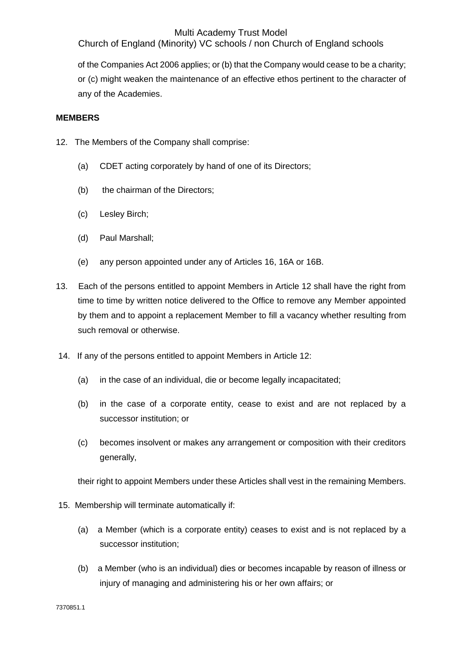Church of England (Minority) VC schools / non Church of England schools

of the Companies Act 2006 applies; or (b) that the Company would cease to be a charity; or (c) might weaken the maintenance of an effective ethos pertinent to the character of any of the Academies.

#### **MEMBERS**

- 12. The Members of the Company shall comprise:
	- (a) CDET acting corporately by hand of one of its Directors;
	- (b) the chairman of the Directors;
	- (c) Lesley Birch;
	- (d) Paul Marshall;
	- (e) any person appointed under any of Articles 16, 16A or 16B.
- 13. Each of the persons entitled to appoint Members in Article 12 shall have the right from time to time by written notice delivered to the Office to remove any Member appointed by them and to appoint a replacement Member to fill a vacancy whether resulting from such removal or otherwise.
- 14. If any of the persons entitled to appoint Members in Article 12:
	- (a) in the case of an individual, die or become legally incapacitated;
	- (b) in the case of a corporate entity, cease to exist and are not replaced by a successor institution; or
	- (c) becomes insolvent or makes any arrangement or composition with their creditors generally,

their right to appoint Members under these Articles shall vest in the remaining Members.

- 15. Membership will terminate automatically if:
	- (a) a Member (which is a corporate entity) ceases to exist and is not replaced by a successor institution;
	- (b) a Member (who is an individual) dies or becomes incapable by reason of illness or injury of managing and administering his or her own affairs; or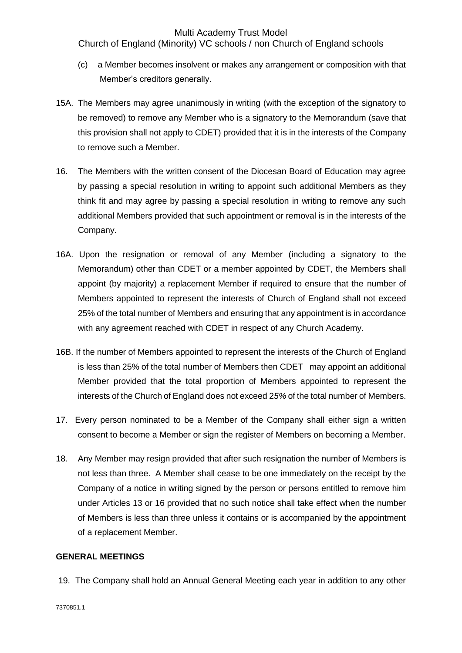Church of England (Minority) VC schools / non Church of England schools

- (c) a Member becomes insolvent or makes any arrangement or composition with that Member's creditors generally.
- 15A. The Members may agree unanimously in writing (with the exception of the signatory to be removed) to remove any Member who is a signatory to the Memorandum (save that this provision shall not apply to CDET) provided that it is in the interests of the Company to remove such a Member.
- 16. The Members with the written consent of the Diocesan Board of Education may agree by passing a special resolution in writing to appoint such additional Members as they think fit and may agree by passing a special resolution in writing to remove any such additional Members provided that such appointment or removal is in the interests of the Company.
- 16A. Upon the resignation or removal of any Member (including a signatory to the Memorandum) other than CDET or a member appointed by CDET, the Members shall appoint (by majority) a replacement Member if required to ensure that the number of Members appointed to represent the interests of Church of England shall not exceed 25% of the total number of Members and ensuring that any appointment is in accordance with any agreement reached with CDET in respect of any Church Academy.
- 16B. If the number of Members appointed to represent the interests of the Church of England is less than 25% of the total number of Members then CDET may appoint an additional Member provided that the total proportion of Members appointed to represent the interests of the Church of England does not exceed 2*5%* of the total number of Members.
- 17. Every person nominated to be a Member of the Company shall either sign a written consent to become a Member or sign the register of Members on becoming a Member.
- 18. Any Member may resign provided that after such resignation the number of Members is not less than three. A Member shall cease to be one immediately on the receipt by the Company of a notice in writing signed by the person or persons entitled to remove him under Articles 13 or 16 provided that no such notice shall take effect when the number of Members is less than three unless it contains or is accompanied by the appointment of a replacement Member.

## **GENERAL MEETINGS**

19. The Company shall hold an Annual General Meeting each year in addition to any other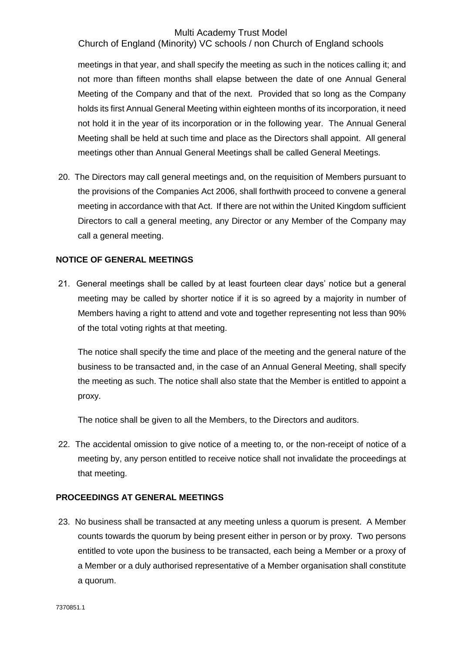Church of England (Minority) VC schools / non Church of England schools

meetings in that year, and shall specify the meeting as such in the notices calling it; and not more than fifteen months shall elapse between the date of one Annual General Meeting of the Company and that of the next. Provided that so long as the Company holds its first Annual General Meeting within eighteen months of its incorporation, it need not hold it in the year of its incorporation or in the following year. The Annual General Meeting shall be held at such time and place as the Directors shall appoint. All general meetings other than Annual General Meetings shall be called General Meetings.

20. The Directors may call general meetings and, on the requisition of Members pursuant to the provisions of the Companies Act 2006, shall forthwith proceed to convene a general meeting in accordance with that Act. If there are not within the United Kingdom sufficient Directors to call a general meeting, any Director or any Member of the Company may call a general meeting.

# **NOTICE OF GENERAL MEETINGS**

21. General meetings shall be called by at least fourteen clear days' notice but a general meeting may be called by shorter notice if it is so agreed by a majority in number of Members having a right to attend and vote and together representing not less than 90% of the total voting rights at that meeting.

The notice shall specify the time and place of the meeting and the general nature of the business to be transacted and, in the case of an Annual General Meeting, shall specify the meeting as such. The notice shall also state that the Member is entitled to appoint a proxy.

The notice shall be given to all the Members, to the Directors and auditors.

22. The accidental omission to give notice of a meeting to, or the non-receipt of notice of a meeting by, any person entitled to receive notice shall not invalidate the proceedings at that meeting.

# **PROCEEDINGS AT GENERAL MEETINGS**

23. No business shall be transacted at any meeting unless a quorum is present. A Member counts towards the quorum by being present either in person or by proxy. Two persons entitled to vote upon the business to be transacted, each being a Member or a proxy of a Member or a duly authorised representative of a Member organisation shall constitute a quorum.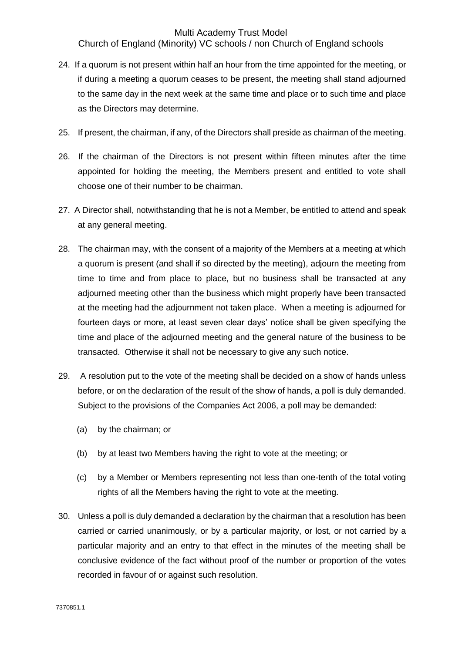Church of England (Minority) VC schools / non Church of England schools

- 24. If a quorum is not present within half an hour from the time appointed for the meeting, or if during a meeting a quorum ceases to be present, the meeting shall stand adjourned to the same day in the next week at the same time and place or to such time and place as the Directors may determine.
- 25. If present, the chairman, if any, of the Directors shall preside as chairman of the meeting.
- 26. If the chairman of the Directors is not present within fifteen minutes after the time appointed for holding the meeting, the Members present and entitled to vote shall choose one of their number to be chairman.
- 27. A Director shall, notwithstanding that he is not a Member, be entitled to attend and speak at any general meeting.
- 28. The chairman may, with the consent of a majority of the Members at a meeting at which a quorum is present (and shall if so directed by the meeting), adjourn the meeting from time to time and from place to place, but no business shall be transacted at any adjourned meeting other than the business which might properly have been transacted at the meeting had the adjournment not taken place. When a meeting is adjourned for fourteen days or more, at least seven clear days' notice shall be given specifying the time and place of the adjourned meeting and the general nature of the business to be transacted. Otherwise it shall not be necessary to give any such notice.
- 29. A resolution put to the vote of the meeting shall be decided on a show of hands unless before, or on the declaration of the result of the show of hands, a poll is duly demanded. Subject to the provisions of the Companies Act 2006, a poll may be demanded:
	- (a) by the chairman; or
	- (b) by at least two Members having the right to vote at the meeting; or
	- (c) by a Member or Members representing not less than one-tenth of the total voting rights of all the Members having the right to vote at the meeting.
- 30. Unless a poll is duly demanded a declaration by the chairman that a resolution has been carried or carried unanimously, or by a particular majority, or lost, or not carried by a particular majority and an entry to that effect in the minutes of the meeting shall be conclusive evidence of the fact without proof of the number or proportion of the votes recorded in favour of or against such resolution.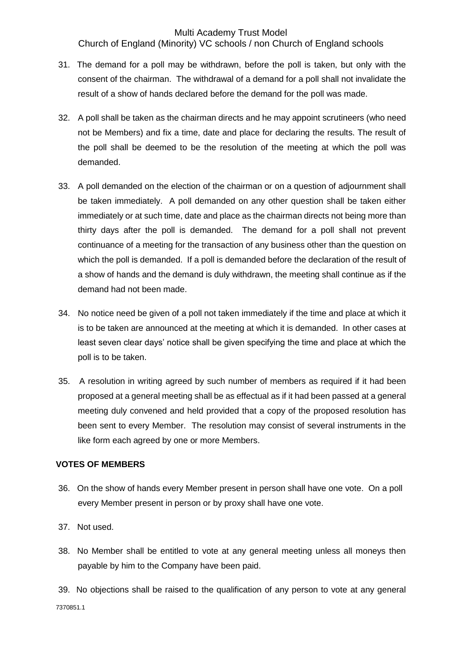Church of England (Minority) VC schools / non Church of England schools

- 31. The demand for a poll may be withdrawn, before the poll is taken, but only with the consent of the chairman. The withdrawal of a demand for a poll shall not invalidate the result of a show of hands declared before the demand for the poll was made.
- 32. A poll shall be taken as the chairman directs and he may appoint scrutineers (who need not be Members) and fix a time, date and place for declaring the results. The result of the poll shall be deemed to be the resolution of the meeting at which the poll was demanded.
- 33. A poll demanded on the election of the chairman or on a question of adjournment shall be taken immediately. A poll demanded on any other question shall be taken either immediately or at such time, date and place as the chairman directs not being more than thirty days after the poll is demanded. The demand for a poll shall not prevent continuance of a meeting for the transaction of any business other than the question on which the poll is demanded. If a poll is demanded before the declaration of the result of a show of hands and the demand is duly withdrawn, the meeting shall continue as if the demand had not been made.
- 34. No notice need be given of a poll not taken immediately if the time and place at which it is to be taken are announced at the meeting at which it is demanded. In other cases at least seven clear days' notice shall be given specifying the time and place at which the poll is to be taken.
- 35. A resolution in writing agreed by such number of members as required if it had been proposed at a general meeting shall be as effectual as if it had been passed at a general meeting duly convened and held provided that a copy of the proposed resolution has been sent to every Member. The resolution may consist of several instruments in the like form each agreed by one or more Members.

# **VOTES OF MEMBERS**

- 36. On the show of hands every Member present in person shall have one vote. On a poll every Member present in person or by proxy shall have one vote.
- 37. Not used.
- 38. No Member shall be entitled to vote at any general meeting unless all moneys then payable by him to the Company have been paid.

7370851.1 39. No objections shall be raised to the qualification of any person to vote at any general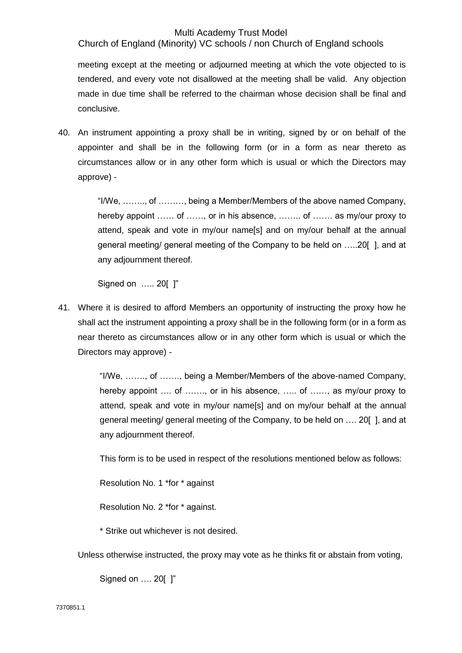Church of England (Minority) VC schools / non Church of England schools

meeting except at the meeting or adjourned meeting at which the vote objected to is tendered, and every vote not disallowed at the meeting shall be valid. Any objection made in due time shall be referred to the chairman whose decision shall be final and conclusive.

40. An instrument appointing a proxy shall be in writing, signed by or on behalf of the appointer and shall be in the following form (or in a form as near thereto as circumstances allow or in any other form which is usual or which the Directors may approve) -

> "I/We, …….., of ………, being a Member/Members of the above named Company, hereby appoint …… of ……, or in his absence, ……… of …… as my/our proxy to attend, speak and vote in my/our name[s] and on my/our behalf at the annual general meeting/ general meeting of the Company to be held on …..20[ ], and at any adjournment thereof.

Signed on ….. 20[ ]"

41. Where it is desired to afford Members an opportunity of instructing the proxy how he shall act the instrument appointing a proxy shall be in the following form (or in a form as near thereto as circumstances allow or in any other form which is usual or which the Directors may approve) -

> "I/We, ……., of ……., being a Member/Members of the above-named Company, hereby appoint .... of ......., or in his absence, ..... of ......, as my/our proxy to attend, speak and vote in my/our name[s] and on my/our behalf at the annual general meeting/ general meeting of the Company, to be held on …. 20[ ], and at any adjournment thereof.

This form is to be used in respect of the resolutions mentioned below as follows:

Resolution No. 1 \*for \* against

Resolution No. 2 \*for \* against.

\* Strike out whichever is not desired.

Unless otherwise instructed, the proxy may vote as he thinks fit or abstain from voting,

Signed on …. 20[ ]"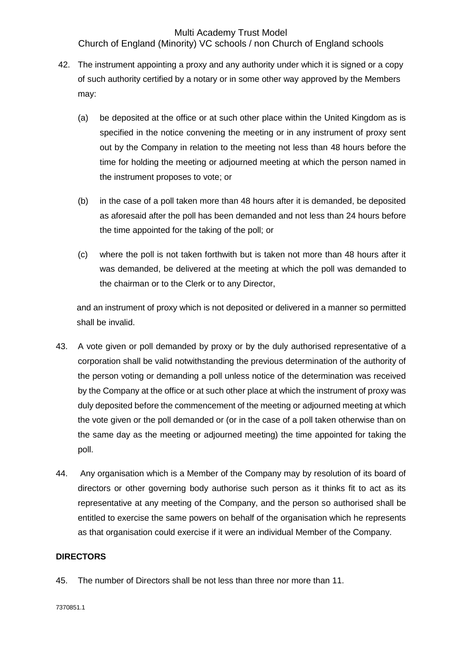Church of England (Minority) VC schools / non Church of England schools

- 42. The instrument appointing a proxy and any authority under which it is signed or a copy of such authority certified by a notary or in some other way approved by the Members may:
	- (a) be deposited at the office or at such other place within the United Kingdom as is specified in the notice convening the meeting or in any instrument of proxy sent out by the Company in relation to the meeting not less than 48 hours before the time for holding the meeting or adjourned meeting at which the person named in the instrument proposes to vote; or
	- (b) in the case of a poll taken more than 48 hours after it is demanded, be deposited as aforesaid after the poll has been demanded and not less than 24 hours before the time appointed for the taking of the poll; or
	- (c) where the poll is not taken forthwith but is taken not more than 48 hours after it was demanded, be delivered at the meeting at which the poll was demanded to the chairman or to the Clerk or to any Director,

and an instrument of proxy which is not deposited or delivered in a manner so permitted shall be invalid.

- 43. A vote given or poll demanded by proxy or by the duly authorised representative of a corporation shall be valid notwithstanding the previous determination of the authority of the person voting or demanding a poll unless notice of the determination was received by the Company at the office or at such other place at which the instrument of proxy was duly deposited before the commencement of the meeting or adjourned meeting at which the vote given or the poll demanded or (or in the case of a poll taken otherwise than on the same day as the meeting or adjourned meeting) the time appointed for taking the poll.
- 44. Any organisation which is a Member of the Company may by resolution of its board of directors or other governing body authorise such person as it thinks fit to act as its representative at any meeting of the Company, and the person so authorised shall be entitled to exercise the same powers on behalf of the organisation which he represents as that organisation could exercise if it were an individual Member of the Company.

# **DIRECTORS**

45. The number of Directors shall be not less than three nor more than 11.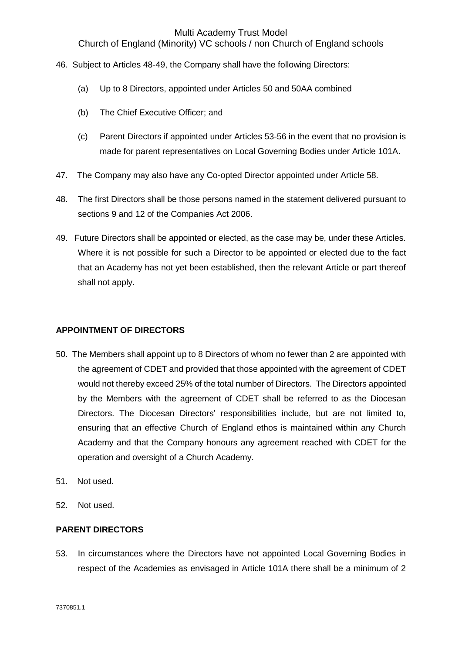Church of England (Minority) VC schools / non Church of England schools

- 46. Subject to Articles 48-49, the Company shall have the following Directors:
	- (a) Up to 8 Directors, appointed under Articles 50 and 50AA combined
	- (b) The Chief Executive Officer; and
	- (c) Parent Directors if appointed under Articles 53-56 in the event that no provision is made for parent representatives on Local Governing Bodies under Article 101A.
- 47. The Company may also have any Co-opted Director appointed under Article 58.
- 48. The first Directors shall be those persons named in the statement delivered pursuant to sections 9 and 12 of the Companies Act 2006.
- 49. Future Directors shall be appointed or elected, as the case may be, under these Articles. Where it is not possible for such a Director to be appointed or elected due to the fact that an Academy has not yet been established, then the relevant Article or part thereof shall not apply.

## **APPOINTMENT OF DIRECTORS**

- 50. The Members shall appoint up to 8 Directors of whom no fewer than 2 are appointed with the agreement of CDET and provided that those appointed with the agreement of CDET would not thereby exceed 25% of the total number of Directors. The Directors appointed by the Members with the agreement of CDET shall be referred to as the Diocesan Directors. The Diocesan Directors' responsibilities include, but are not limited to, ensuring that an effective Church of England ethos is maintained within any Church Academy and that the Company honours any agreement reached with CDET for the operation and oversight of a Church Academy.
- 51. Not used.
- 52. Not used.

## **PARENT DIRECTORS**

53. In circumstances where the Directors have not appointed Local Governing Bodies in respect of the Academies as envisaged in Article 101A there shall be a minimum of 2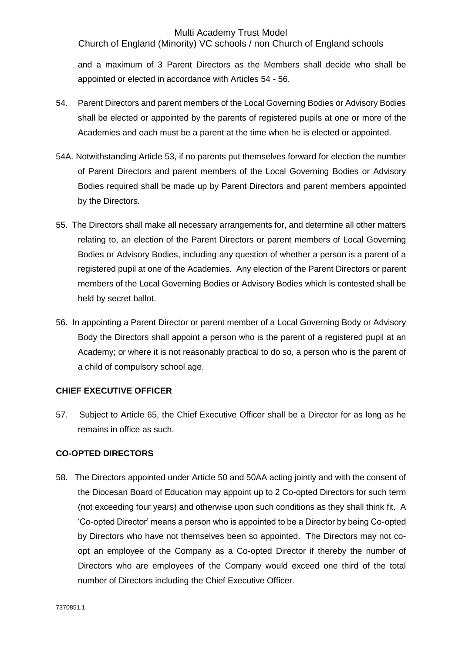Church of England (Minority) VC schools / non Church of England schools

and a maximum of 3 Parent Directors as the Members shall decide who shall be appointed or elected in accordance with Articles 54 - 56.

- 54. Parent Directors and parent members of the Local Governing Bodies or Advisory Bodies shall be elected or appointed by the parents of registered pupils at one or more of the Academies and each must be a parent at the time when he is elected or appointed.
- 54A. Notwithstanding Article 53, if no parents put themselves forward for election the number of Parent Directors and parent members of the Local Governing Bodies or Advisory Bodies required shall be made up by Parent Directors and parent members appointed by the Directors.
- 55. The Directors shall make all necessary arrangements for, and determine all other matters relating to, an election of the Parent Directors or parent members of Local Governing Bodies or Advisory Bodies, including any question of whether a person is a parent of a registered pupil at one of the Academies. Any election of the Parent Directors or parent members of the Local Governing Bodies or Advisory Bodies which is contested shall be held by secret ballot.
- 56. In appointing a Parent Director or parent member of a Local Governing Body or Advisory Body the Directors shall appoint a person who is the parent of a registered pupil at an Academy; or where it is not reasonably practical to do so, a person who is the parent of a child of compulsory school age.

# **CHIEF EXECUTIVE OFFICER**

57. Subject to Article 65, the Chief Executive Officer shall be a Director for as long as he remains in office as such.

# **CO-OPTED DIRECTORS**

58. The Directors appointed under Article 50 and 50AA acting jointly and with the consent of the Diocesan Board of Education may appoint up to 2 Co-opted Directors for such term (not exceeding four years) and otherwise upon such conditions as they shall think fit. A 'Co-opted Director' means a person who is appointed to be a Director by being Co-opted by Directors who have not themselves been so appointed. The Directors may not coopt an employee of the Company as a Co-opted Director if thereby the number of Directors who are employees of the Company would exceed one third of the total number of Directors including the Chief Executive Officer.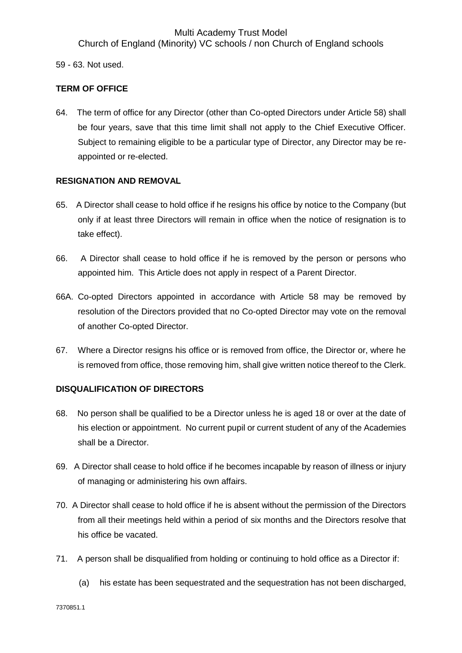# Multi Academy Trust Model Church of England (Minority) VC schools / non Church of England schools

59 - 63. Not used.

### **TERM OF OFFICE**

64. The term of office for any Director (other than Co-opted Directors under Article 58) shall be four years, save that this time limit shall not apply to the Chief Executive Officer. Subject to remaining eligible to be a particular type of Director, any Director may be reappointed or re-elected.

#### **RESIGNATION AND REMOVAL**

- 65. A Director shall cease to hold office if he resigns his office by notice to the Company (but only if at least three Directors will remain in office when the notice of resignation is to take effect).
- 66. A Director shall cease to hold office if he is removed by the person or persons who appointed him. This Article does not apply in respect of a Parent Director.
- 66A. Co-opted Directors appointed in accordance with Article 58 may be removed by resolution of the Directors provided that no Co-opted Director may vote on the removal of another Co-opted Director.
- 67. Where a Director resigns his office or is removed from office, the Director or, where he is removed from office, those removing him, shall give written notice thereof to the Clerk.

## **DISQUALIFICATION OF DIRECTORS**

- 68. No person shall be qualified to be a Director unless he is aged 18 or over at the date of his election or appointment. No current pupil or current student of any of the Academies shall be a Director.
- 69. A Director shall cease to hold office if he becomes incapable by reason of illness or injury of managing or administering his own affairs.
- 70. A Director shall cease to hold office if he is absent without the permission of the Directors from all their meetings held within a period of six months and the Directors resolve that his office be vacated.
- 71. A person shall be disqualified from holding or continuing to hold office as a Director if:
	- (a) his estate has been sequestrated and the sequestration has not been discharged,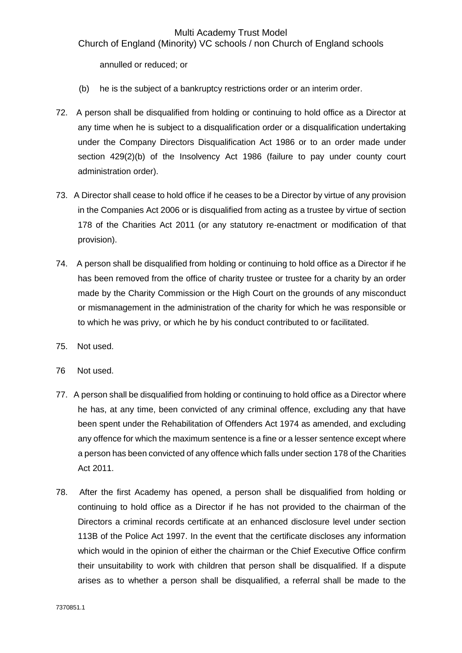Church of England (Minority) VC schools / non Church of England schools

annulled or reduced; or

- (b) he is the subject of a bankruptcy restrictions order or an interim order.
- 72. A person shall be disqualified from holding or continuing to hold office as a Director at any time when he is subject to a disqualification order or a disqualification undertaking under the Company Directors Disqualification Act 1986 or to an order made under section 429(2)(b) of the Insolvency Act 1986 (failure to pay under county court administration order).
- 73. A Director shall cease to hold office if he ceases to be a Director by virtue of any provision in the Companies Act 2006 or is disqualified from acting as a trustee by virtue of section 178 of the Charities Act 2011 (or any statutory re-enactment or modification of that provision).
- 74. A person shall be disqualified from holding or continuing to hold office as a Director if he has been removed from the office of charity trustee or trustee for a charity by an order made by the Charity Commission or the High Court on the grounds of any misconduct or mismanagement in the administration of the charity for which he was responsible or to which he was privy, or which he by his conduct contributed to or facilitated.
- 75. Not used.
- 76 Not used.
- 77. A person shall be disqualified from holding or continuing to hold office as a Director where he has, at any time, been convicted of any criminal offence, excluding any that have been spent under the Rehabilitation of Offenders Act 1974 as amended, and excluding any offence for which the maximum sentence is a fine or a lesser sentence except where a person has been convicted of any offence which falls under section 178 of the Charities Act 2011.
- 78. After the first Academy has opened, a person shall be disqualified from holding or continuing to hold office as a Director if he has not provided to the chairman of the Directors a criminal records certificate at an enhanced disclosure level under section 113B of the Police Act 1997. In the event that the certificate discloses any information which would in the opinion of either the chairman or the Chief Executive Office confirm their unsuitability to work with children that person shall be disqualified. If a dispute arises as to whether a person shall be disqualified, a referral shall be made to the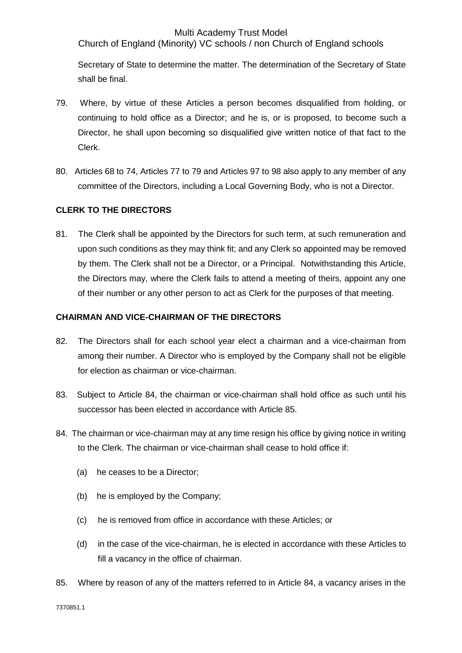Church of England (Minority) VC schools / non Church of England schools

Secretary of State to determine the matter. The determination of the Secretary of State shall be final.

- 79. Where, by virtue of these Articles a person becomes disqualified from holding, or continuing to hold office as a Director; and he is, or is proposed, to become such a Director, he shall upon becoming so disqualified give written notice of that fact to the Clerk.
- 80. Articles 68 to 74, Articles 77 to 79 and Articles 97 to 98 also apply to any member of any committee of the Directors, including a Local Governing Body, who is not a Director.

# **CLERK TO THE DIRECTORS**

81. The Clerk shall be appointed by the Directors for such term, at such remuneration and upon such conditions as they may think fit; and any Clerk so appointed may be removed by them. The Clerk shall not be a Director, or a Principal. Notwithstanding this Article, the Directors may, where the Clerk fails to attend a meeting of theirs, appoint any one of their number or any other person to act as Clerk for the purposes of that meeting.

## **CHAIRMAN AND VICE-CHAIRMAN OF THE DIRECTORS**

- 82. The Directors shall for each school year elect a chairman and a vice-chairman from among their number. A Director who is employed by the Company shall not be eligible for election as chairman or vice-chairman.
- 83. Subject to Article 84, the chairman or vice-chairman shall hold office as such until his successor has been elected in accordance with Article 85.
- 84. The chairman or vice-chairman may at any time resign his office by giving notice in writing to the Clerk. The chairman or vice-chairman shall cease to hold office if:
	- (a) he ceases to be a Director;
	- (b) he is employed by the Company;
	- (c) he is removed from office in accordance with these Articles; or
	- (d) in the case of the vice-chairman, he is elected in accordance with these Articles to fill a vacancy in the office of chairman.
- 85. Where by reason of any of the matters referred to in Article 84, a vacancy arises in the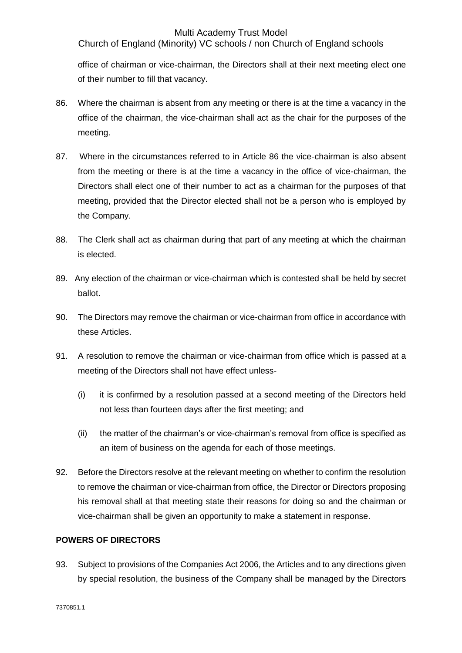Church of England (Minority) VC schools / non Church of England schools

office of chairman or vice-chairman, the Directors shall at their next meeting elect one of their number to fill that vacancy.

- 86. Where the chairman is absent from any meeting or there is at the time a vacancy in the office of the chairman, the vice-chairman shall act as the chair for the purposes of the meeting.
- 87. Where in the circumstances referred to in Article 86 the vice-chairman is also absent from the meeting or there is at the time a vacancy in the office of vice-chairman, the Directors shall elect one of their number to act as a chairman for the purposes of that meeting, provided that the Director elected shall not be a person who is employed by the Company.
- 88. The Clerk shall act as chairman during that part of any meeting at which the chairman is elected.
- 89. Any election of the chairman or vice-chairman which is contested shall be held by secret ballot.
- 90. The Directors may remove the chairman or vice-chairman from office in accordance with these Articles.
- 91. A resolution to remove the chairman or vice-chairman from office which is passed at a meeting of the Directors shall not have effect unless-
	- (i) it is confirmed by a resolution passed at a second meeting of the Directors held not less than fourteen days after the first meeting; and
	- (ii) the matter of the chairman's or vice-chairman's removal from office is specified as an item of business on the agenda for each of those meetings.
- 92. Before the Directors resolve at the relevant meeting on whether to confirm the resolution to remove the chairman or vice-chairman from office, the Director or Directors proposing his removal shall at that meeting state their reasons for doing so and the chairman or vice-chairman shall be given an opportunity to make a statement in response.

# **POWERS OF DIRECTORS**

93. Subject to provisions of the Companies Act 2006, the Articles and to any directions given by special resolution, the business of the Company shall be managed by the Directors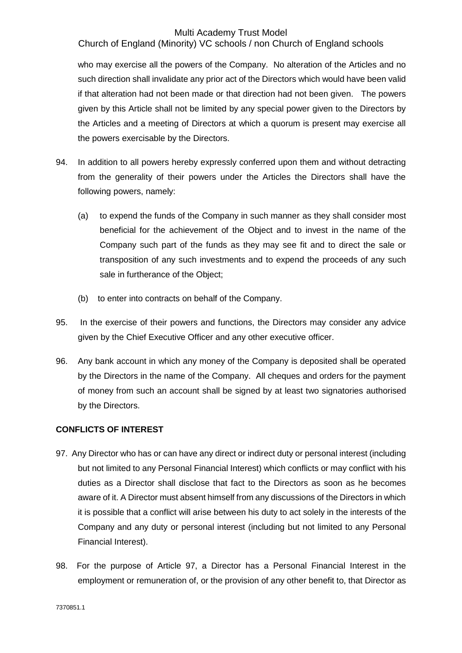Church of England (Minority) VC schools / non Church of England schools

who may exercise all the powers of the Company. No alteration of the Articles and no such direction shall invalidate any prior act of the Directors which would have been valid if that alteration had not been made or that direction had not been given. The powers given by this Article shall not be limited by any special power given to the Directors by the Articles and a meeting of Directors at which a quorum is present may exercise all the powers exercisable by the Directors.

- 94. In addition to all powers hereby expressly conferred upon them and without detracting from the generality of their powers under the Articles the Directors shall have the following powers, namely:
	- (a) to expend the funds of the Company in such manner as they shall consider most beneficial for the achievement of the Object and to invest in the name of the Company such part of the funds as they may see fit and to direct the sale or transposition of any such investments and to expend the proceeds of any such sale in furtherance of the Object;
	- (b) to enter into contracts on behalf of the Company.
- 95. In the exercise of their powers and functions, the Directors may consider any advice given by the Chief Executive Officer and any other executive officer.
- 96. Any bank account in which any money of the Company is deposited shall be operated by the Directors in the name of the Company. All cheques and orders for the payment of money from such an account shall be signed by at least two signatories authorised by the Directors.

# **CONFLICTS OF INTEREST**

- 97. Any Director who has or can have any direct or indirect duty or personal interest (including but not limited to any Personal Financial Interest) which conflicts or may conflict with his duties as a Director shall disclose that fact to the Directors as soon as he becomes aware of it. A Director must absent himself from any discussions of the Directors in which it is possible that a conflict will arise between his duty to act solely in the interests of the Company and any duty or personal interest (including but not limited to any Personal Financial Interest).
- 98. For the purpose of Article 97, a Director has a Personal Financial Interest in the employment or remuneration of, or the provision of any other benefit to, that Director as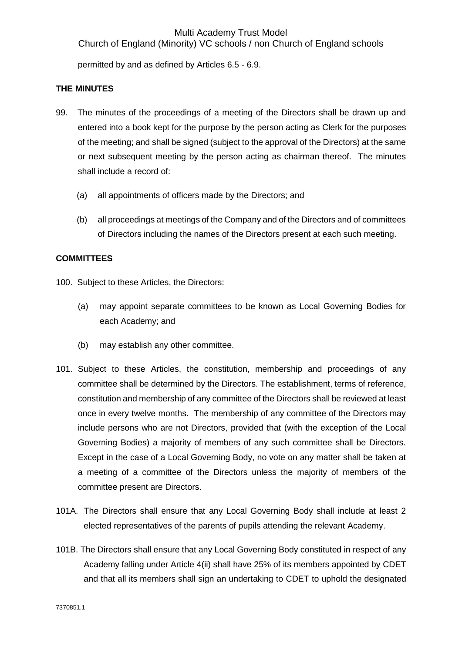Church of England (Minority) VC schools / non Church of England schools

permitted by and as defined by Articles 6.5 - 6.9.

# **THE MINUTES**

- 99. The minutes of the proceedings of a meeting of the Directors shall be drawn up and entered into a book kept for the purpose by the person acting as Clerk for the purposes of the meeting; and shall be signed (subject to the approval of the Directors) at the same or next subsequent meeting by the person acting as chairman thereof. The minutes shall include a record of:
	- (a) all appointments of officers made by the Directors; and
	- (b) all proceedings at meetings of the Company and of the Directors and of committees of Directors including the names of the Directors present at each such meeting.

## **COMMITTEES**

100. Subject to these Articles, the Directors:

- (a) may appoint separate committees to be known as Local Governing Bodies for each Academy; and
- (b) may establish any other committee.
- 101. Subject to these Articles, the constitution, membership and proceedings of any committee shall be determined by the Directors. The establishment, terms of reference, constitution and membership of any committee of the Directors shall be reviewed at least once in every twelve months. The membership of any committee of the Directors may include persons who are not Directors, provided that (with the exception of the Local Governing Bodies) a majority of members of any such committee shall be Directors. Except in the case of a Local Governing Body, no vote on any matter shall be taken at a meeting of a committee of the Directors unless the majority of members of the committee present are Directors.
- 101A. The Directors shall ensure that any Local Governing Body shall include at least 2 elected representatives of the parents of pupils attending the relevant Academy.
- 101B. The Directors shall ensure that any Local Governing Body constituted in respect of any Academy falling under Article 4(ii) shall have 25% of its members appointed by CDET and that all its members shall sign an undertaking to CDET to uphold the designated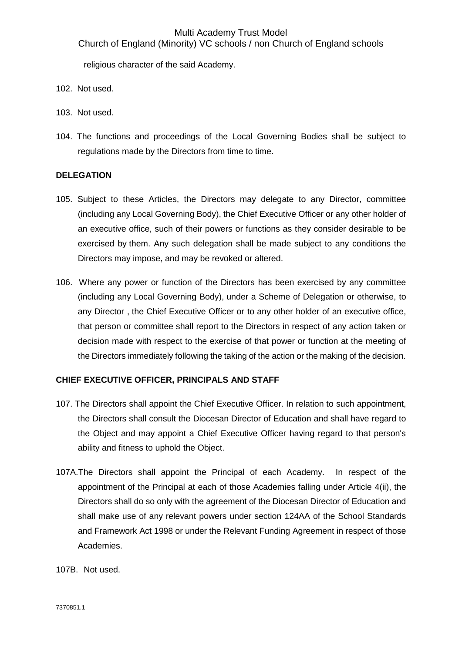Church of England (Minority) VC schools / non Church of England schools

religious character of the said Academy.

- 102. Not used.
- 103. Not used.
- 104. The functions and proceedings of the Local Governing Bodies shall be subject to regulations made by the Directors from time to time.

## **DELEGATION**

- 105. Subject to these Articles, the Directors may delegate to any Director, committee (including any Local Governing Body), the Chief Executive Officer or any other holder of an executive office, such of their powers or functions as they consider desirable to be exercised by them. Any such delegation shall be made subject to any conditions the Directors may impose, and may be revoked or altered.
- 106. Where any power or function of the Directors has been exercised by any committee (including any Local Governing Body), under a Scheme of Delegation or otherwise, to any Director , the Chief Executive Officer or to any other holder of an executive office, that person or committee shall report to the Directors in respect of any action taken or decision made with respect to the exercise of that power or function at the meeting of the Directors immediately following the taking of the action or the making of the decision.

## **CHIEF EXECUTIVE OFFICER, PRINCIPALS AND STAFF**

- 107. The Directors shall appoint the Chief Executive Officer. In relation to such appointment, the Directors shall consult the Diocesan Director of Education and shall have regard to the Object and may appoint a Chief Executive Officer having regard to that person's ability and fitness to uphold the Object.
- 107A.The Directors shall appoint the Principal of each Academy. In respect of the appointment of the Principal at each of those Academies falling under Article 4(ii), the Directors shall do so only with the agreement of the Diocesan Director of Education and shall make use of any relevant powers under section 124AA of the School Standards and Framework Act 1998 or under the Relevant Funding Agreement in respect of those Academies.
- 107B. Not used.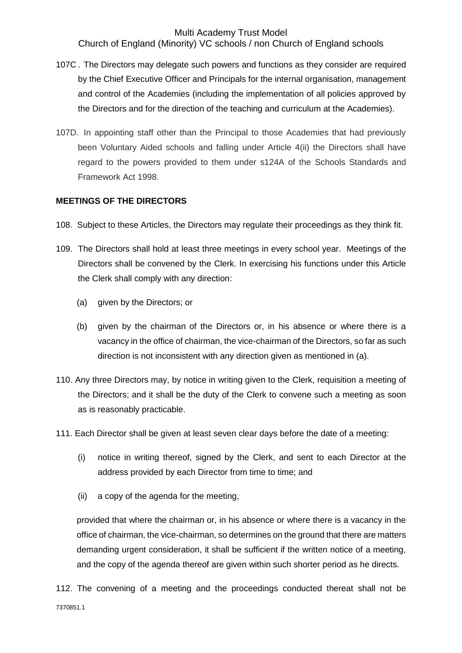Church of England (Minority) VC schools / non Church of England schools

- 107C . The Directors may delegate such powers and functions as they consider are required by the Chief Executive Officer and Principals for the internal organisation, management and control of the Academies (including the implementation of all policies approved by the Directors and for the direction of the teaching and curriculum at the Academies).
- 107D. In appointing staff other than the Principal to those Academies that had previously been Voluntary Aided schools and falling under Article 4(ii) the Directors shall have regard to the powers provided to them under s124A of the Schools Standards and Framework Act 1998.

# **MEETINGS OF THE DIRECTORS**

- 108. Subject to these Articles, the Directors may regulate their proceedings as they think fit.
- 109. The Directors shall hold at least three meetings in every school year. Meetings of the Directors shall be convened by the Clerk. In exercising his functions under this Article the Clerk shall comply with any direction:
	- (a) given by the Directors; or
	- (b) given by the chairman of the Directors or, in his absence or where there is a vacancy in the office of chairman, the vice-chairman of the Directors, so far as such direction is not inconsistent with any direction given as mentioned in (a).
- 110. Any three Directors may, by notice in writing given to the Clerk, requisition a meeting of the Directors; and it shall be the duty of the Clerk to convene such a meeting as soon as is reasonably practicable.
- 111. Each Director shall be given at least seven clear days before the date of a meeting:
	- (i) notice in writing thereof, signed by the Clerk, and sent to each Director at the address provided by each Director from time to time; and
	- (ii) a copy of the agenda for the meeting,

provided that where the chairman or, in his absence or where there is a vacancy in the office of chairman, the vice-chairman, so determines on the ground that there are matters demanding urgent consideration, it shall be sufficient if the written notice of a meeting, and the copy of the agenda thereof are given within such shorter period as he directs.

7370851.1 112. The convening of a meeting and the proceedings conducted thereat shall not be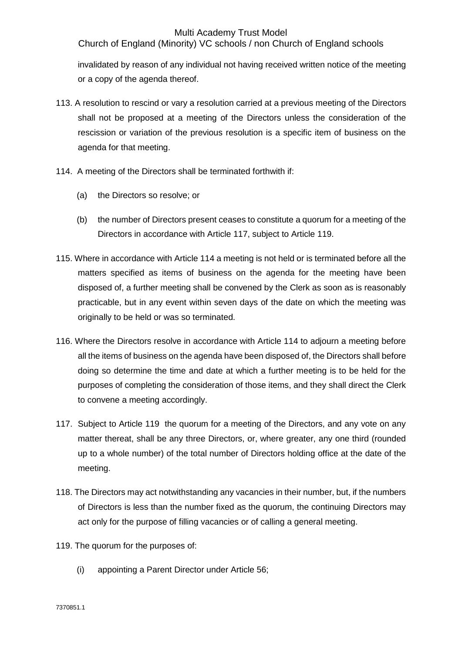Church of England (Minority) VC schools / non Church of England schools

invalidated by reason of any individual not having received written notice of the meeting or a copy of the agenda thereof.

- 113. A resolution to rescind or vary a resolution carried at a previous meeting of the Directors shall not be proposed at a meeting of the Directors unless the consideration of the rescission or variation of the previous resolution is a specific item of business on the agenda for that meeting.
- 114. A meeting of the Directors shall be terminated forthwith if:
	- (a) the Directors so resolve; or
	- (b) the number of Directors present ceases to constitute a quorum for a meeting of the Directors in accordance with Article 117, subject to Article 119.
- 115. Where in accordance with Article 114 a meeting is not held or is terminated before all the matters specified as items of business on the agenda for the meeting have been disposed of, a further meeting shall be convened by the Clerk as soon as is reasonably practicable, but in any event within seven days of the date on which the meeting was originally to be held or was so terminated.
- 116. Where the Directors resolve in accordance with Article 114 to adjourn a meeting before all the items of business on the agenda have been disposed of, the Directors shall before doing so determine the time and date at which a further meeting is to be held for the purposes of completing the consideration of those items, and they shall direct the Clerk to convene a meeting accordingly.
- 117. Subject to Article 119 the quorum for a meeting of the Directors, and any vote on any matter thereat, shall be any three Directors, or, where greater, any one third (rounded up to a whole number) of the total number of Directors holding office at the date of the meeting.
- 118. The Directors may act notwithstanding any vacancies in their number, but, if the numbers of Directors is less than the number fixed as the quorum, the continuing Directors may act only for the purpose of filling vacancies or of calling a general meeting.
- 119. The quorum for the purposes of:
	- (i) appointing a Parent Director under Article 56;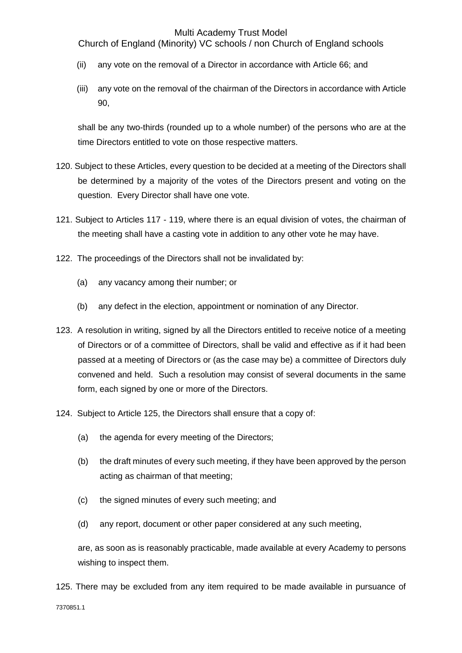Church of England (Minority) VC schools / non Church of England schools

- (ii) any vote on the removal of a Director in accordance with Article 66; and
- (iii) any vote on the removal of the chairman of the Directors in accordance with Article 90,

shall be any two-thirds (rounded up to a whole number) of the persons who are at the time Directors entitled to vote on those respective matters.

- 120. Subject to these Articles, every question to be decided at a meeting of the Directors shall be determined by a majority of the votes of the Directors present and voting on the question. Every Director shall have one vote.
- 121. Subject to Articles 117 119, where there is an equal division of votes, the chairman of the meeting shall have a casting vote in addition to any other vote he may have.
- 122. The proceedings of the Directors shall not be invalidated by:
	- (a) any vacancy among their number; or
	- (b) any defect in the election, appointment or nomination of any Director.
- 123. A resolution in writing, signed by all the Directors entitled to receive notice of a meeting of Directors or of a committee of Directors, shall be valid and effective as if it had been passed at a meeting of Directors or (as the case may be) a committee of Directors duly convened and held. Such a resolution may consist of several documents in the same form, each signed by one or more of the Directors.
- 124. Subject to Article 125, the Directors shall ensure that a copy of:
	- (a) the agenda for every meeting of the Directors;
	- (b) the draft minutes of every such meeting, if they have been approved by the person acting as chairman of that meeting;
	- (c) the signed minutes of every such meeting; and
	- (d) any report, document or other paper considered at any such meeting,

are, as soon as is reasonably practicable, made available at every Academy to persons wishing to inspect them.

125. There may be excluded from any item required to be made available in pursuance of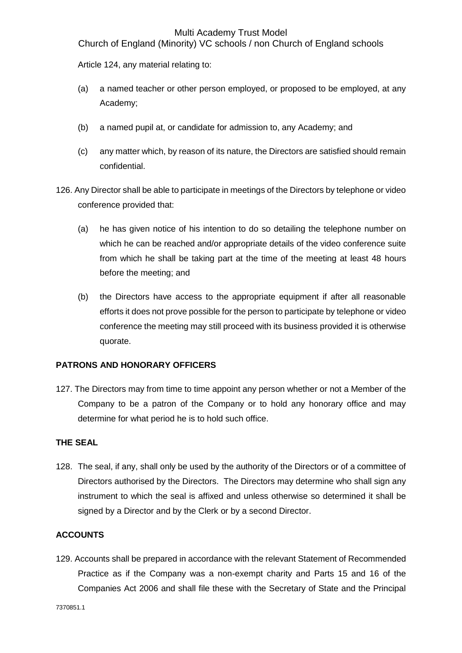Church of England (Minority) VC schools / non Church of England schools

Article 124, any material relating to:

- (a) a named teacher or other person employed, or proposed to be employed, at any Academy;
- (b) a named pupil at, or candidate for admission to, any Academy; and
- (c) any matter which, by reason of its nature, the Directors are satisfied should remain confidential.
- 126. Any Director shall be able to participate in meetings of the Directors by telephone or video conference provided that:
	- (a) he has given notice of his intention to do so detailing the telephone number on which he can be reached and/or appropriate details of the video conference suite from which he shall be taking part at the time of the meeting at least 48 hours before the meeting; and
	- (b) the Directors have access to the appropriate equipment if after all reasonable efforts it does not prove possible for the person to participate by telephone or video conference the meeting may still proceed with its business provided it is otherwise quorate.

# **PATRONS AND HONORARY OFFICERS**

127. The Directors may from time to time appoint any person whether or not a Member of the Company to be a patron of the Company or to hold any honorary office and may determine for what period he is to hold such office.

## **THE SEAL**

128. The seal, if any, shall only be used by the authority of the Directors or of a committee of Directors authorised by the Directors. The Directors may determine who shall sign any instrument to which the seal is affixed and unless otherwise so determined it shall be signed by a Director and by the Clerk or by a second Director.

# **ACCOUNTS**

129. Accounts shall be prepared in accordance with the relevant Statement of Recommended Practice as if the Company was a non-exempt charity and Parts 15 and 16 of the Companies Act 2006 and shall file these with the Secretary of State and the Principal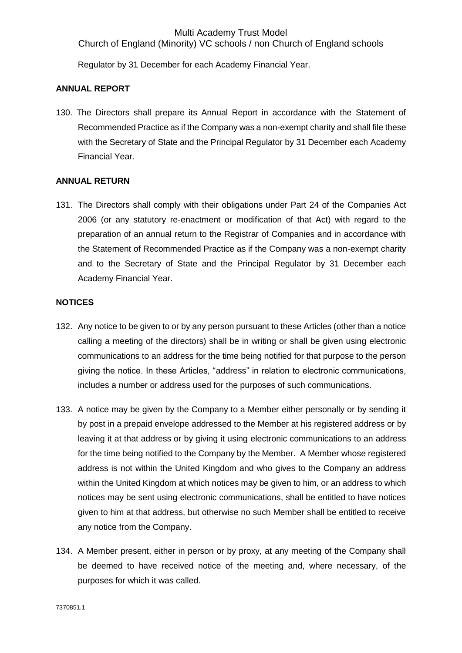Church of England (Minority) VC schools / non Church of England schools

Regulator by 31 December for each Academy Financial Year.

## **ANNUAL REPORT**

130. The Directors shall prepare its Annual Report in accordance with the Statement of Recommended Practice as if the Company was a non-exempt charity and shall file these with the Secretary of State and the Principal Regulator by 31 December each Academy Financial Year.

## **ANNUAL RETURN**

131. The Directors shall comply with their obligations under Part 24 of the Companies Act 2006 (or any statutory re-enactment or modification of that Act) with regard to the preparation of an annual return to the Registrar of Companies and in accordance with the Statement of Recommended Practice as if the Company was a non-exempt charity and to the Secretary of State and the Principal Regulator by 31 December each Academy Financial Year.

# **NOTICES**

- 132. Any notice to be given to or by any person pursuant to these Articles (other than a notice calling a meeting of the directors) shall be in writing or shall be given using electronic communications to an address for the time being notified for that purpose to the person giving the notice. In these Articles, "address" in relation to electronic communications, includes a number or address used for the purposes of such communications.
- 133. A notice may be given by the Company to a Member either personally or by sending it by post in a prepaid envelope addressed to the Member at his registered address or by leaving it at that address or by giving it using electronic communications to an address for the time being notified to the Company by the Member. A Member whose registered address is not within the United Kingdom and who gives to the Company an address within the United Kingdom at which notices may be given to him, or an address to which notices may be sent using electronic communications, shall be entitled to have notices given to him at that address, but otherwise no such Member shall be entitled to receive any notice from the Company.
- 134. A Member present, either in person or by proxy, at any meeting of the Company shall be deemed to have received notice of the meeting and, where necessary, of the purposes for which it was called.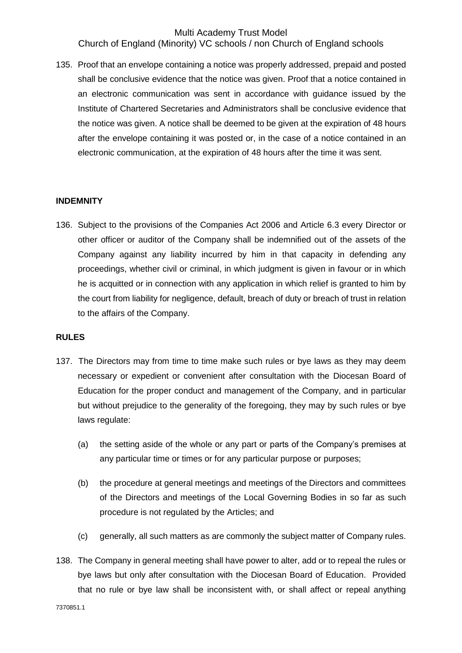Church of England (Minority) VC schools / non Church of England schools

135. Proof that an envelope containing a notice was properly addressed, prepaid and posted shall be conclusive evidence that the notice was given. Proof that a notice contained in an electronic communication was sent in accordance with guidance issued by the Institute of Chartered Secretaries and Administrators shall be conclusive evidence that the notice was given. A notice shall be deemed to be given at the expiration of 48 hours after the envelope containing it was posted or, in the case of a notice contained in an electronic communication, at the expiration of 48 hours after the time it was sent.

#### **INDEMNITY**

136. Subject to the provisions of the Companies Act 2006 and Article 6.3 every Director or other officer or auditor of the Company shall be indemnified out of the assets of the Company against any liability incurred by him in that capacity in defending any proceedings, whether civil or criminal, in which judgment is given in favour or in which he is acquitted or in connection with any application in which relief is granted to him by the court from liability for negligence, default, breach of duty or breach of trust in relation to the affairs of the Company.

#### **RULES**

- 137. The Directors may from time to time make such rules or bye laws as they may deem necessary or expedient or convenient after consultation with the Diocesan Board of Education for the proper conduct and management of the Company, and in particular but without prejudice to the generality of the foregoing, they may by such rules or bye laws regulate:
	- (a) the setting aside of the whole or any part or parts of the Company's premises at any particular time or times or for any particular purpose or purposes;
	- (b) the procedure at general meetings and meetings of the Directors and committees of the Directors and meetings of the Local Governing Bodies in so far as such procedure is not regulated by the Articles; and
	- (c) generally, all such matters as are commonly the subject matter of Company rules.
- 138. The Company in general meeting shall have power to alter, add or to repeal the rules or bye laws but only after consultation with the Diocesan Board of Education. Provided that no rule or bye law shall be inconsistent with, or shall affect or repeal anything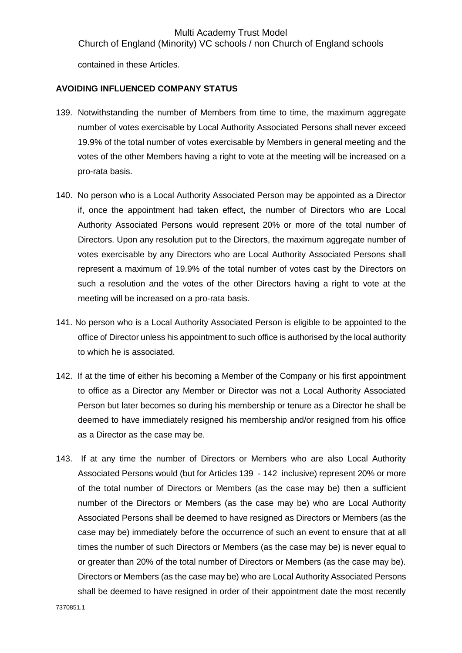Church of England (Minority) VC schools / non Church of England schools

contained in these Articles.

### **AVOIDING INFLUENCED COMPANY STATUS**

- 139. Notwithstanding the number of Members from time to time, the maximum aggregate number of votes exercisable by Local Authority Associated Persons shall never exceed 19.9% of the total number of votes exercisable by Members in general meeting and the votes of the other Members having a right to vote at the meeting will be increased on a pro-rata basis.
- 140. No person who is a Local Authority Associated Person may be appointed as a Director if, once the appointment had taken effect, the number of Directors who are Local Authority Associated Persons would represent 20% or more of the total number of Directors. Upon any resolution put to the Directors, the maximum aggregate number of votes exercisable by any Directors who are Local Authority Associated Persons shall represent a maximum of 19.9% of the total number of votes cast by the Directors on such a resolution and the votes of the other Directors having a right to vote at the meeting will be increased on a pro-rata basis.
- 141. No person who is a Local Authority Associated Person is eligible to be appointed to the office of Director unless his appointment to such office is authorised by the local authority to which he is associated.
- 142. If at the time of either his becoming a Member of the Company or his first appointment to office as a Director any Member or Director was not a Local Authority Associated Person but later becomes so during his membership or tenure as a Director he shall be deemed to have immediately resigned his membership and/or resigned from his office as a Director as the case may be.
- 143. If at any time the number of Directors or Members who are also Local Authority Associated Persons would (but for Articles 139 - 142 inclusive) represent 20% or more of the total number of Directors or Members (as the case may be) then a sufficient number of the Directors or Members (as the case may be) who are Local Authority Associated Persons shall be deemed to have resigned as Directors or Members (as the case may be) immediately before the occurrence of such an event to ensure that at all times the number of such Directors or Members (as the case may be) is never equal to or greater than 20% of the total number of Directors or Members (as the case may be). Directors or Members (as the case may be) who are Local Authority Associated Persons shall be deemed to have resigned in order of their appointment date the most recently